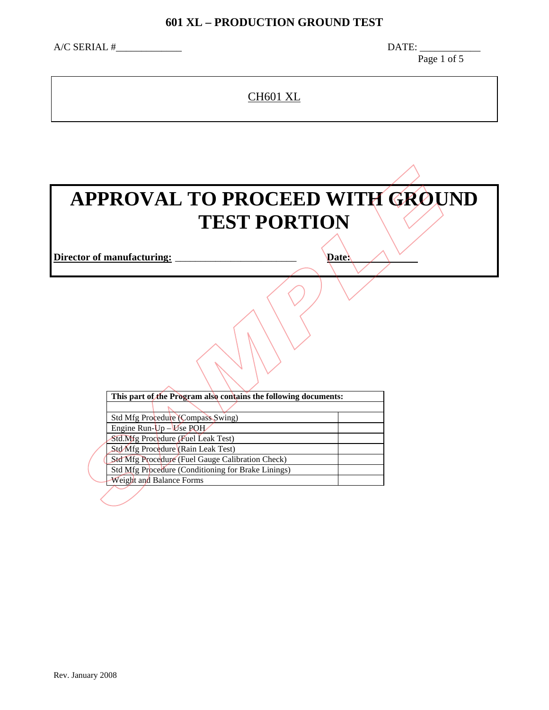#### **601 XL – PRODUCTION GROUND TEST**

 $\triangle$ /C SERIAL # $\angle$ 

Page 1 of 5

CH601 XL

# **APPROVAL TO PROCEED WITH GROUND TEST PORTION**

**Director of manufacturing:** \_\_\_\_\_\_\_\_\_\_\_\_\_\_\_\_\_\_\_\_\_\_\_\_ **Date:** 

| <b>APPROVAL TO PROCEED WITH GROU</b><br><b>TEST PORTION</b>              |              |
|--------------------------------------------------------------------------|--------------|
| ctor of manufacturing:                                                   | <b>Date:</b> |
|                                                                          |              |
| This part of the Program also contains the following documents:          |              |
|                                                                          |              |
| <b>Std Mfg Procedure (Compass Swing)</b>                                 |              |
| Engine Run- $Up$ – Use POH                                               |              |
| Std.Mfg Procedure (Fuel Leak Test)<br>Std Mfg Procedure (Rain Leak Test) |              |
| Std Mfg Procedure (Fuel Gauge Calibration Check)                         |              |
| Std Mfg Procedure (Conditioning for Brake Linings)                       |              |
| Weight and Balance Forms                                                 |              |
|                                                                          |              |
|                                                                          |              |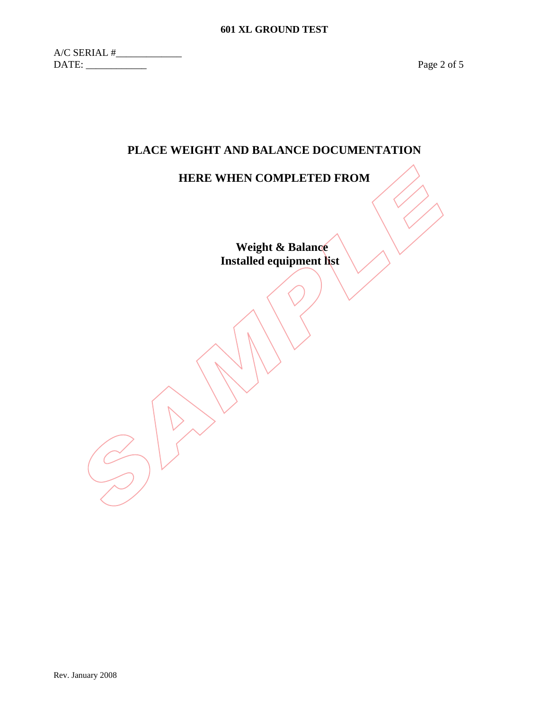$A/C$  SERIAL  $\#$ DATE: \_\_\_\_\_\_\_\_\_\_\_\_ Page 2 of 5

### **PLACE WEIGHT AND BALANCE DOCUMENTATION**

#### **HERE WHEN COMPLETED FROM**

**Weight & Balance Installed equipment list**  HERE WHEN COMPLETED FROM<br>Weight & Balance<br>Installed equipment list<br>and the complete list<br>and the complete list<br>and the complete list<br>and the complete list<br>of the complete list<br>of the complete list<br> $\mathcal{L}(\mathcal{L})$ 

Rev. January 2008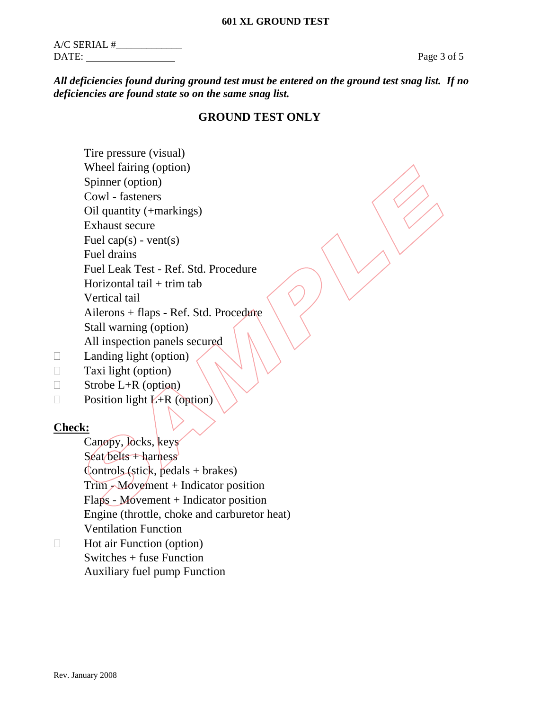Rev. January 2008

| $A/C$ SERIAL # |  |
|----------------|--|
| DATE:          |  |

#### *All deficiencies found during ground test must be entered on the ground test snag list. If no deficiencies are found state so on the same snag list.*

## **GROUND TEST ONLY**

 Tire pressure (visual) Wheel fairing (option) Spinner (option) Cowl - fasteners Oil quantity (+markings) Exhaust secure Fuel cap(s) - vent(s) Fuel drains Fuel Leak Test - Ref. Std. Procedure Horizontal tail  $+$  trim tab Vertical tail Ailerons + flaps - Ref. Std. Procedure Stall warning (option) All inspection panels secured Wheel fairing (option)<br>
Spinner (option)<br>
Covil - fasteners<br>
Oid quantity (+markings)<br>
Exhaust secure<br>
Thel can (Sb) - vent(s)<br>
Fuel Leak Test - Ref. Std. Procedure<br>
Horizontal tail + trim tab<br>
Ailerons + flaps - Ref. Std.

- $\Box$  Landing light (option)
- $\Box$  Taxi light (option)
- $\Box$  Strobe L+R (option)
- $\Box$  Position light  $\angle$ +R (option)

### **Check:**

 Canopy, locks, keys  $Seta$  belts + harness  $\text{Controls}\left(\text{stick}, \text{ pedals} + \text{brakes}\right)$  Trim - Movement + Indicator position Flaps - Movement + Indicator position Engine (throttle, choke and carburetor heat) Ventilation Function

 $\Box$  Hot air Function (option) Switches + fuse Function Auxiliary fuel pump Function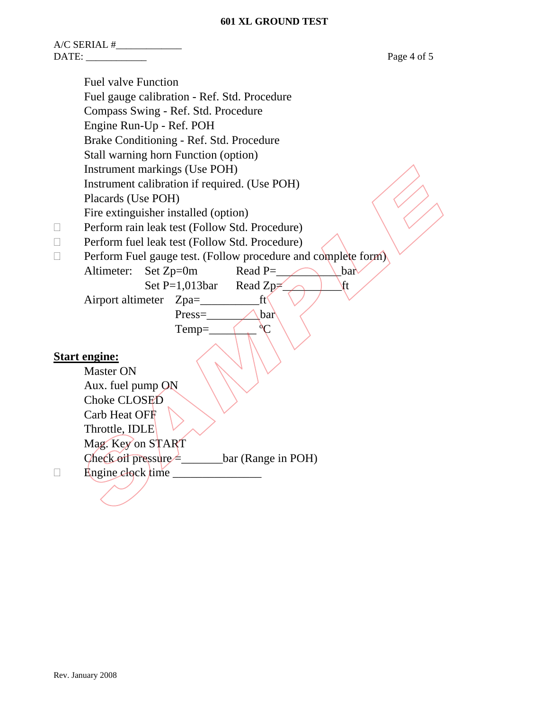#### **601 XL GROUND TEST**

A/C SERIAL #\_\_\_\_\_\_\_\_\_\_\_\_\_ DATE: Page 4 of 5 Fuel valve Function Fuel gauge calibration - Ref. Std. Procedure Compass Swing - Ref. Std. Procedure Engine Run-Up - Ref. POH Brake Conditioning - Ref. Std. Procedure Stall warning horn Function (option) Instrument markings (Use POH) Instrument calibration if required. (Use POH) Placards (Use POH) Fire extinguisher installed (option)  $\Box$  Perform rain leak test (Follow Std. Procedure)  $\Box$  Perform fuel leak test (Follow Std. Procedure)  $\Box$  Perform Fuel gauge test. (Follow procedure and complete form) Altimeter: Set  $Zp=0m$  Read P= Set P=1,013bar Read Zp $\geq$  ft Airport altimeter Zpa=\_\_\_\_\_\_\_\_\_\_ft Press=\_\_\_\_\_\_\_\_\_bar  $Temp=\qquad \qquad \qquad \qquad \overset{\circ}{\mathcal{C}}$ **Start engine:** Master ON Aux. fuel pump ON Choke CLOSED Carb Heat OFF Throttle, IDLE Mag. Key on START Check oil pressure =\_\_\_\_\_\_\_bar (Range in POH) Instrument markings (Use POH)<br>
Instrument calibration if required. (Use POH)<br>
Placards (Use POH)<br>
Placards (Use POH)<br>
Fire extinguisher installed (option)<br>
Fire extinguisher installed (option)<br>
Enform fuel lead test (Follo